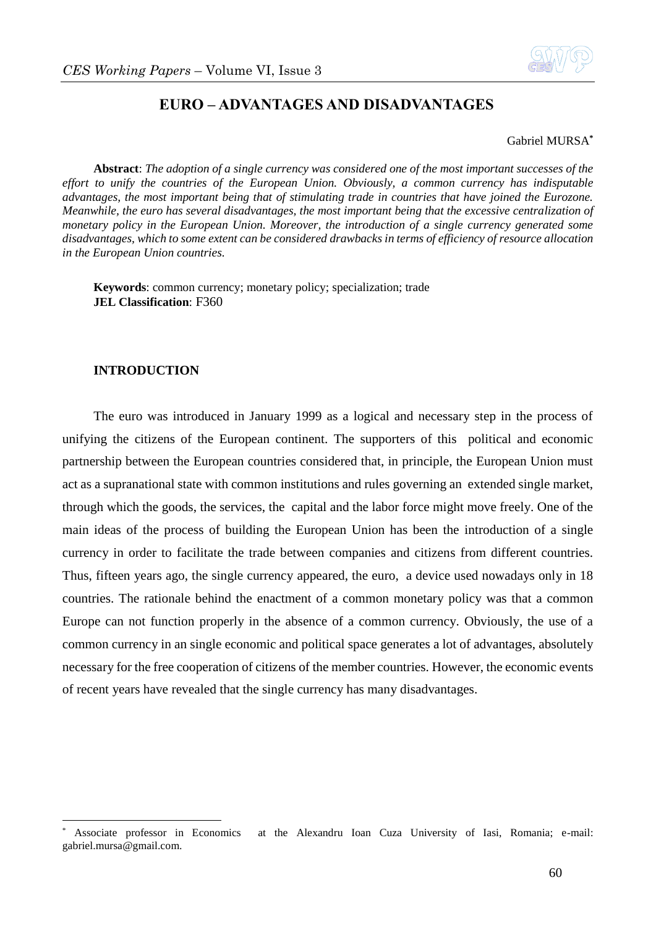

# **EURO – ADVANTAGES AND DISADVANTAGES**

#### Gabriel MURSA**\***

**Abstract**: *The adoption of a single currency was considered one of the most important successes of the effort to unify the countries of the European Union. Obviously, a common currency has indisputable advantages, the most important being that of stimulating trade in countries that have joined the Eurozone. Meanwhile, the euro has several disadvantages, the most important being that the excessive centralization of monetary policy in the European Union. Moreover, the introduction of a single currency generated some disadvantages, which to some extent can be considered drawbacks in terms of efficiency of resource allocation in the European Union countries.*

**Keywords**: common currency; monetary policy; specialization; trade **JEL Classification**: F360

## **INTRODUCTION**

1

The euro was introduced in January 1999 as a logical and necessary step in the process of unifying the citizens of the European continent. The supporters of this political and economic partnership between the European countries considered that, in principle, the European Union must act as a supranational state with common institutions and rules governing an extended single market, through which the goods, the services, the capital and the labor force might move freely. One of the main ideas of the process of building the European Union has been the introduction of a single currency in order to facilitate the trade between companies and citizens from different countries. Thus, fifteen years ago, the single currency appeared, the euro, a device used nowadays only in 18 countries. The rationale behind the enactment of a common monetary policy was that a common Europe can not function properly in the absence of a common currency. Obviously, the use of a common currency in an single economic and political space generates a lot of advantages, absolutely necessary for the free cooperation of citizens of the member countries. However, the economic events of recent years have revealed that the single currency has many disadvantages.

<sup>\*</sup> Associate professor in Economics at the Alexandru Ioan Cuza University of Iasi, Romania; e-mail: gabriel.mursa@gmail.com.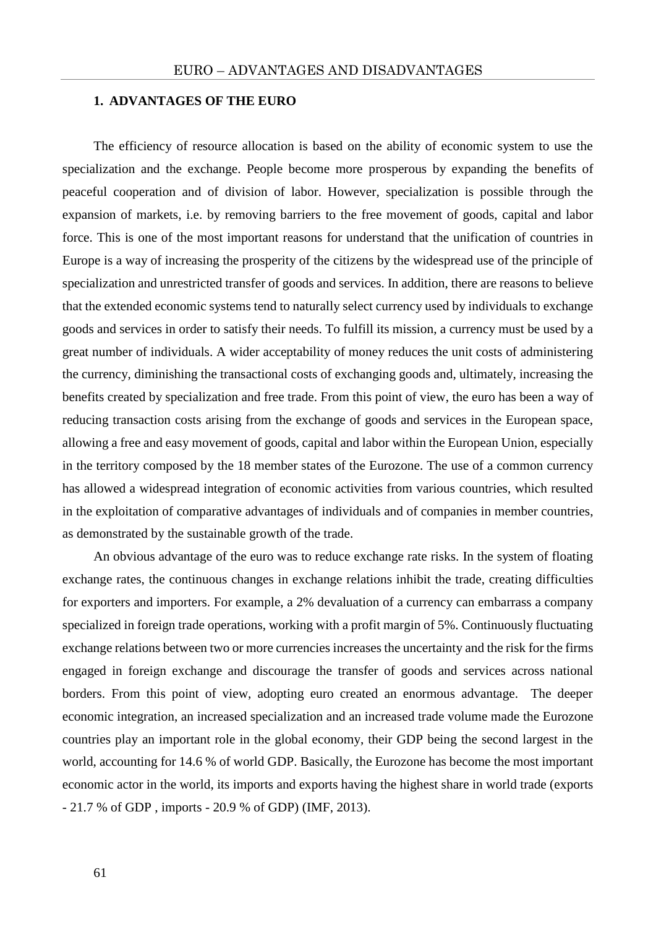### **1. ADVANTAGES OF THE EURO**

The efficiency of resource allocation is based on the ability of economic system to use the specialization and the exchange. People become more prosperous by expanding the benefits of peaceful cooperation and of division of labor. However, specialization is possible through the expansion of markets, i.e. by removing barriers to the free movement of goods, capital and labor force. This is one of the most important reasons for understand that the unification of countries in Europe is a way of increasing the prosperity of the citizens by the widespread use of the principle of specialization and unrestricted transfer of goods and services. In addition, there are reasons to believe that the extended economic systems tend to naturally select currency used by individuals to exchange goods and services in order to satisfy their needs. To fulfill its mission, a currency must be used by a great number of individuals. A wider acceptability of money reduces the unit costs of administering the currency, diminishing the transactional costs of exchanging goods and, ultimately, increasing the benefits created by specialization and free trade. From this point of view, the euro has been a way of reducing transaction costs arising from the exchange of goods and services in the European space, allowing a free and easy movement of goods, capital and labor within the European Union, especially in the territory composed by the 18 member states of the Eurozone. The use of a common currency has allowed a widespread integration of economic activities from various countries, which resulted in the exploitation of comparative advantages of individuals and of companies in member countries, as demonstrated by the sustainable growth of the trade.

An obvious advantage of the euro was to reduce exchange rate risks. In the system of floating exchange rates, the continuous changes in exchange relations inhibit the trade, creating difficulties for exporters and importers. For example, a 2% devaluation of a currency can embarrass a company specialized in foreign trade operations, working with a profit margin of 5%. Continuously fluctuating exchange relations between two or more currencies increases the uncertainty and the risk for the firms engaged in foreign exchange and discourage the transfer of goods and services across national borders. From this point of view, adopting euro created an enormous advantage. The deeper economic integration, an increased specialization and an increased trade volume made the Eurozone countries play an important role in the global economy, their GDP being the second largest in the world, accounting for 14.6 % of world GDP. Basically, the Eurozone has become the most important economic actor in the world, its imports and exports having the highest share in world trade (exports - 21.7 % of GDP , imports - 20.9 % of GDP) (IMF, 2013).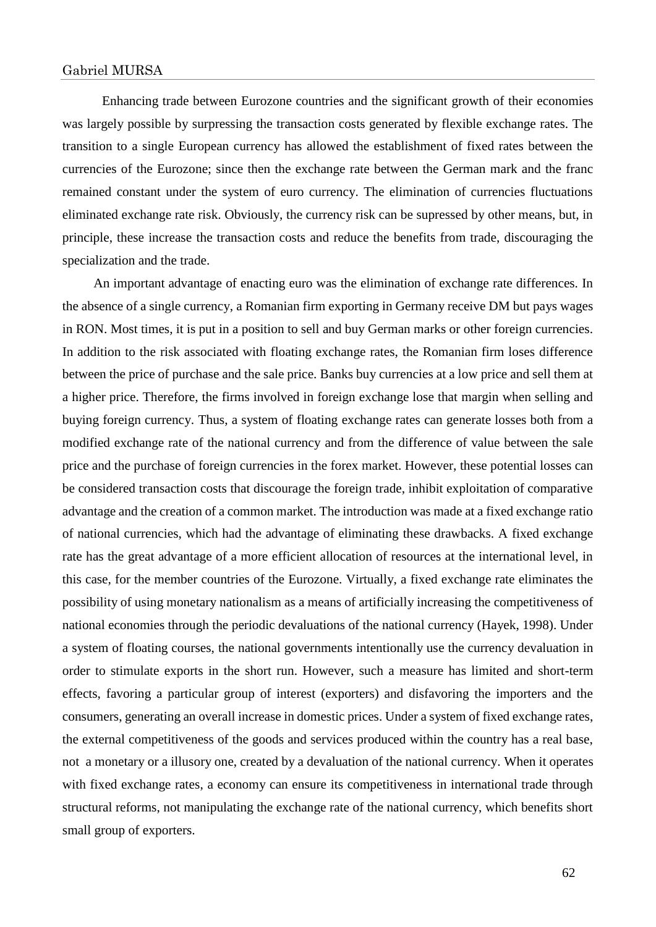Enhancing trade between Eurozone countries and the significant growth of their economies was largely possible by surpressing the transaction costs generated by flexible exchange rates. The transition to a single European currency has allowed the establishment of fixed rates between the currencies of the Eurozone; since then the exchange rate between the German mark and the franc remained constant under the system of euro currency. The elimination of currencies fluctuations eliminated exchange rate risk. Obviously, the currency risk can be supressed by other means, but, in principle, these increase the transaction costs and reduce the benefits from trade, discouraging the specialization and the trade.

An important advantage of enacting euro was the elimination of exchange rate differences. In the absence of a single currency, a Romanian firm exporting in Germany receive DM but pays wages in RON. Most times, it is put in a position to sell and buy German marks or other foreign currencies. In addition to the risk associated with floating exchange rates, the Romanian firm loses difference between the price of purchase and the sale price. Banks buy currencies at a low price and sell them at a higher price. Therefore, the firms involved in foreign exchange lose that margin when selling and buying foreign currency. Thus, a system of floating exchange rates can generate losses both from a modified exchange rate of the national currency and from the difference of value between the sale price and the purchase of foreign currencies in the forex market. However, these potential losses can be considered transaction costs that discourage the foreign trade, inhibit exploitation of comparative advantage and the creation of a common market. The introduction was made at a fixed exchange ratio of national currencies, which had the advantage of eliminating these drawbacks. A fixed exchange rate has the great advantage of a more efficient allocation of resources at the international level, in this case, for the member countries of the Eurozone. Virtually, a fixed exchange rate eliminates the possibility of using monetary nationalism as a means of artificially increasing the competitiveness of national economies through the periodic devaluations of the national currency (Hayek, 1998). Under a system of floating courses, the national governments intentionally use the currency devaluation in order to stimulate exports in the short run. However, such a measure has limited and short-term effects, favoring a particular group of interest (exporters) and disfavoring the importers and the consumers, generating an overall increase in domestic prices. Under a system of fixed exchange rates, the external competitiveness of the goods and services produced within the country has a real base, not a monetary or a illusory one, created by a devaluation of the national currency. When it operates with fixed exchange rates, a economy can ensure its competitiveness in international trade through structural reforms, not manipulating the exchange rate of the national currency, which benefits short small group of exporters.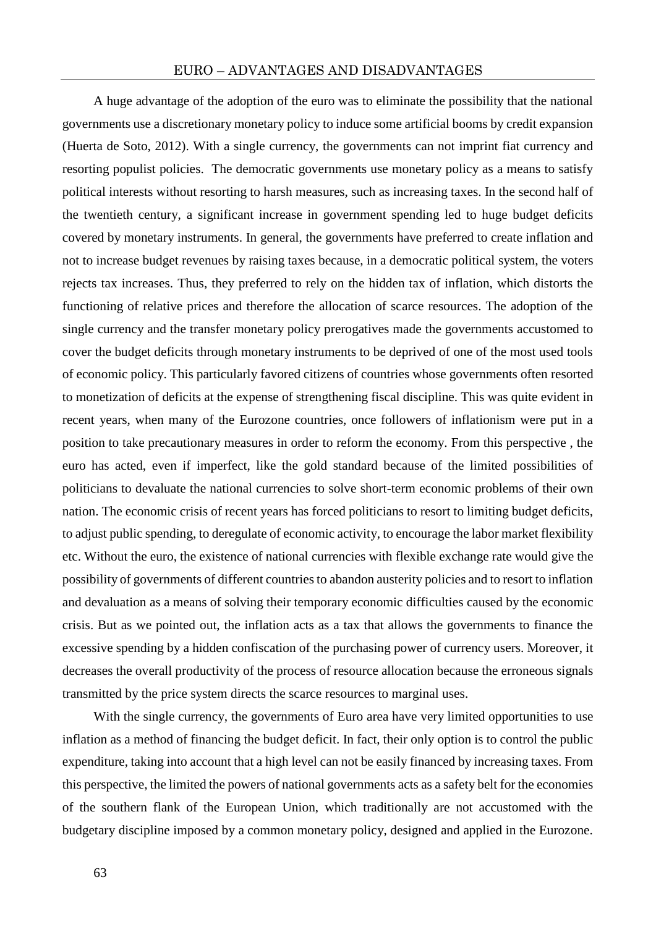A huge advantage of the adoption of the euro was to eliminate the possibility that the national governments use a discretionary monetary policy to induce some artificial booms by credit expansion (Huerta de Soto, 2012). With a single currency, the governments can not imprint fiat currency and resorting populist policies. The democratic governments use monetary policy as a means to satisfy political interests without resorting to harsh measures, such as increasing taxes. In the second half of the twentieth century, a significant increase in government spending led to huge budget deficits covered by monetary instruments. In general, the governments have preferred to create inflation and not to increase budget revenues by raising taxes because, in a democratic political system, the voters rejects tax increases. Thus, they preferred to rely on the hidden tax of inflation, which distorts the functioning of relative prices and therefore the allocation of scarce resources. The adoption of the single currency and the transfer monetary policy prerogatives made the governments accustomed to cover the budget deficits through monetary instruments to be deprived of one of the most used tools of economic policy. This particularly favored citizens of countries whose governments often resorted to monetization of deficits at the expense of strengthening fiscal discipline. This was quite evident in recent years, when many of the Eurozone countries, once followers of inflationism were put in a position to take precautionary measures in order to reform the economy. From this perspective , the euro has acted, even if imperfect, like the gold standard because of the limited possibilities of politicians to devaluate the national currencies to solve short-term economic problems of their own nation. The economic crisis of recent years has forced politicians to resort to limiting budget deficits, to adjust public spending, to deregulate of economic activity, to encourage the labor market flexibility etc. Without the euro, the existence of national currencies with flexible exchange rate would give the possibility of governments of different countries to abandon austerity policies and to resort to inflation and devaluation as a means of solving their temporary economic difficulties caused by the economic crisis. But as we pointed out, the inflation acts as a tax that allows the governments to finance the excessive spending by a hidden confiscation of the purchasing power of currency users. Moreover, it decreases the overall productivity of the process of resource allocation because the erroneous signals transmitted by the price system directs the scarce resources to marginal uses.

With the single currency, the governments of Euro area have very limited opportunities to use inflation as a method of financing the budget deficit. In fact, their only option is to control the public expenditure, taking into account that a high level can not be easily financed by increasing taxes. From this perspective, the limited the powers of national governments acts as a safety belt for the economies of the southern flank of the European Union, which traditionally are not accustomed with the budgetary discipline imposed by a common monetary policy, designed and applied in the Eurozone.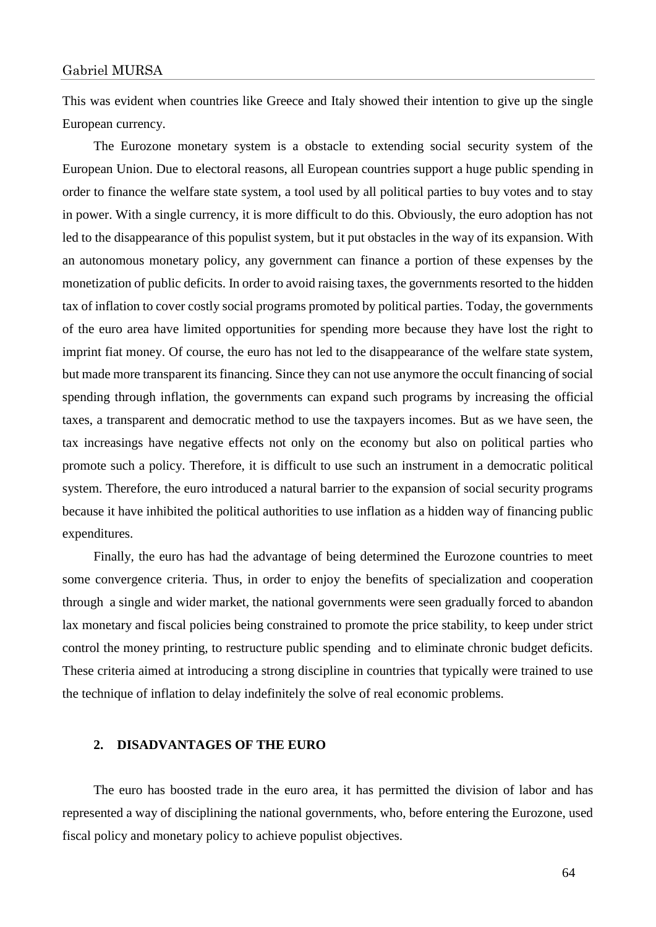This was evident when countries like Greece and Italy showed their intention to give up the single European currency.

The Eurozone monetary system is a obstacle to extending social security system of the European Union. Due to electoral reasons, all European countries support a huge public spending in order to finance the welfare state system, a tool used by all political parties to buy votes and to stay in power. With a single currency, it is more difficult to do this. Obviously, the euro adoption has not led to the disappearance of this populist system, but it put obstacles in the way of its expansion. With an autonomous monetary policy, any government can finance a portion of these expenses by the monetization of public deficits. In order to avoid raising taxes, the governments resorted to the hidden tax of inflation to cover costly social programs promoted by political parties. Today, the governments of the euro area have limited opportunities for spending more because they have lost the right to imprint fiat money. Of course, the euro has not led to the disappearance of the welfare state system, but made more transparent its financing. Since they can not use anymore the occult financing of social spending through inflation, the governments can expand such programs by increasing the official taxes, a transparent and democratic method to use the taxpayers incomes. But as we have seen, the tax increasings have negative effects not only on the economy but also on political parties who promote such a policy. Therefore, it is difficult to use such an instrument in a democratic political system. Therefore, the euro introduced a natural barrier to the expansion of social security programs because it have inhibited the political authorities to use inflation as a hidden way of financing public expenditures.

Finally, the euro has had the advantage of being determined the Eurozone countries to meet some convergence criteria. Thus, in order to enjoy the benefits of specialization and cooperation through a single and wider market, the national governments were seen gradually forced to abandon lax monetary and fiscal policies being constrained to promote the price stability, to keep under strict control the money printing, to restructure public spending and to eliminate chronic budget deficits. These criteria aimed at introducing a strong discipline in countries that typically were trained to use the technique of inflation to delay indefinitely the solve of real economic problems.

## **2. DISADVANTAGES OF THE EURO**

The euro has boosted trade in the euro area, it has permitted the division of labor and has represented a way of disciplining the national governments, who, before entering the Eurozone, used fiscal policy and monetary policy to achieve populist objectives.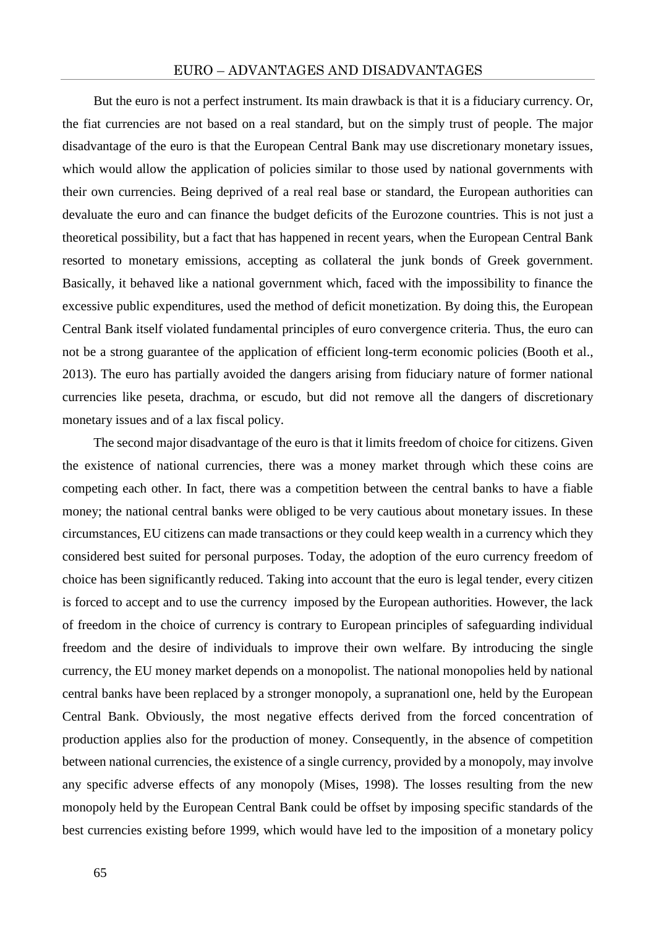But the euro is not a perfect instrument. Its main drawback is that it is a fiduciary currency. Or, the fiat currencies are not based on a real standard, but on the simply trust of people. The major disadvantage of the euro is that the European Central Bank may use discretionary monetary issues, which would allow the application of policies similar to those used by national governments with their own currencies. Being deprived of a real real base or standard, the European authorities can devaluate the euro and can finance the budget deficits of the Eurozone countries. This is not just a theoretical possibility, but a fact that has happened in recent years, when the European Central Bank resorted to monetary emissions, accepting as collateral the junk bonds of Greek government. Basically, it behaved like a national government which, faced with the impossibility to finance the excessive public expenditures, used the method of deficit monetization. By doing this, the European Central Bank itself violated fundamental principles of euro convergence criteria. Thus, the euro can not be a strong guarantee of the application of efficient long-term economic policies (Booth et al., 2013). The euro has partially avoided the dangers arising from fiduciary nature of former national currencies like peseta, drachma, or escudo, but did not remove all the dangers of discretionary monetary issues and of a lax fiscal policy.

The second major disadvantage of the euro is that it limits freedom of choice for citizens. Given the existence of national currencies, there was a money market through which these coins are competing each other. In fact, there was a competition between the central banks to have a fiable money; the national central banks were obliged to be very cautious about monetary issues. In these circumstances, EU citizens can made transactions or they could keep wealth in a currency which they considered best suited for personal purposes. Today, the adoption of the euro currency freedom of choice has been significantly reduced. Taking into account that the euro is legal tender, every citizen is forced to accept and to use the currency imposed by the European authorities. However, the lack of freedom in the choice of currency is contrary to European principles of safeguarding individual freedom and the desire of individuals to improve their own welfare. By introducing the single currency, the EU money market depends on a monopolist. The national monopolies held by national central banks have been replaced by a stronger monopoly, a supranationl one, held by the European Central Bank. Obviously, the most negative effects derived from the forced concentration of production applies also for the production of money. Consequently, in the absence of competition between national currencies, the existence of a single currency, provided by a monopoly, may involve any specific adverse effects of any monopoly (Mises, 1998). The losses resulting from the new monopoly held by the European Central Bank could be offset by imposing specific standards of the best currencies existing before 1999, which would have led to the imposition of a monetary policy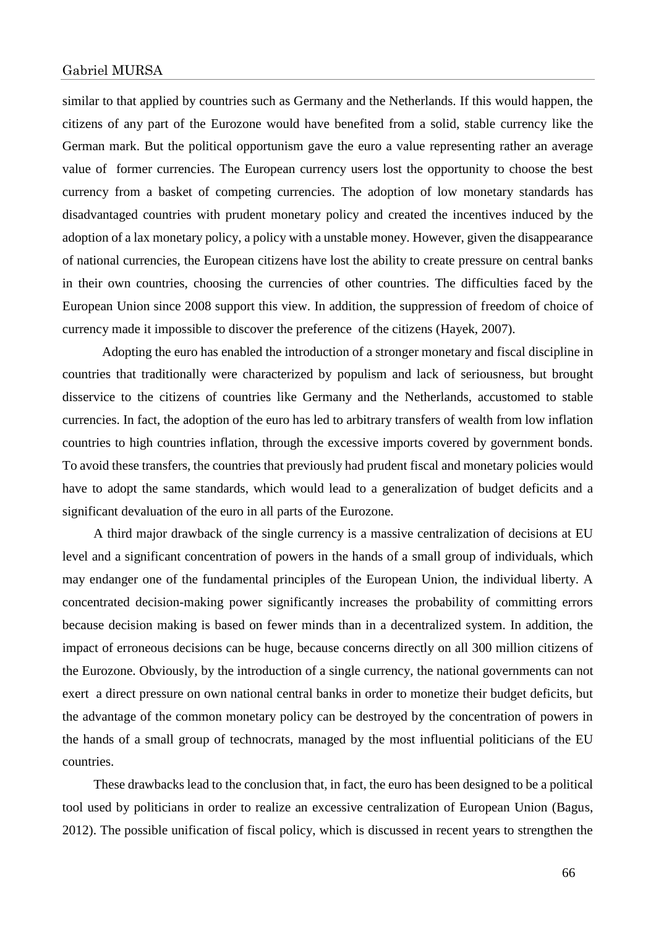similar to that applied by countries such as Germany and the Netherlands. If this would happen, the citizens of any part of the Eurozone would have benefited from a solid, stable currency like the German mark. But the political opportunism gave the euro a value representing rather an average value of former currencies. The European currency users lost the opportunity to choose the best currency from a basket of competing currencies. The adoption of low monetary standards has disadvantaged countries with prudent monetary policy and created the incentives induced by the adoption of a lax monetary policy, a policy with a unstable money. However, given the disappearance of national currencies, the European citizens have lost the ability to create pressure on central banks in their own countries, choosing the currencies of other countries. The difficulties faced by the European Union since 2008 support this view. In addition, the suppression of freedom of choice of currency made it impossible to discover the preference of the citizens (Hayek, 2007).

Adopting the euro has enabled the introduction of a stronger monetary and fiscal discipline in countries that traditionally were characterized by populism and lack of seriousness, but brought disservice to the citizens of countries like Germany and the Netherlands, accustomed to stable currencies. In fact, the adoption of the euro has led to arbitrary transfers of wealth from low inflation countries to high countries inflation, through the excessive imports covered by government bonds. To avoid these transfers, the countries that previously had prudent fiscal and monetary policies would have to adopt the same standards, which would lead to a generalization of budget deficits and a significant devaluation of the euro in all parts of the Eurozone.

A third major drawback of the single currency is a massive centralization of decisions at EU level and a significant concentration of powers in the hands of a small group of individuals, which may endanger one of the fundamental principles of the European Union, the individual liberty. A concentrated decision-making power significantly increases the probability of committing errors because decision making is based on fewer minds than in a decentralized system. In addition, the impact of erroneous decisions can be huge, because concerns directly on all 300 million citizens of the Eurozone. Obviously, by the introduction of a single currency, the national governments can not exert a direct pressure on own national central banks in order to monetize their budget deficits, but the advantage of the common monetary policy can be destroyed by the concentration of powers in the hands of a small group of technocrats, managed by the most influential politicians of the EU countries.

These drawbacks lead to the conclusion that, in fact, the euro has been designed to be a political tool used by politicians in order to realize an excessive centralization of European Union (Bagus, 2012). The possible unification of fiscal policy, which is discussed in recent years to strengthen the